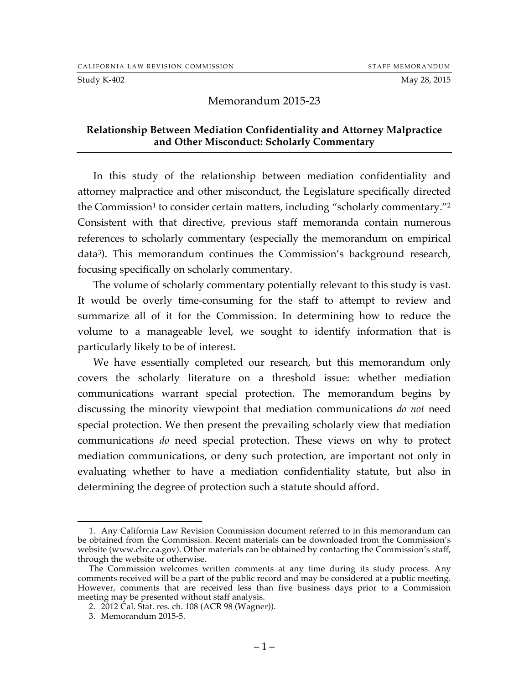#### Study K-402 May 28, 2015

# Memorandum 2015-23

### **Relationship Between Mediation Confidentiality and Attorney Malpractice and Other Misconduct: Scholarly Commentary**

In this study of the relationship between mediation confidentiality and attorney malpractice and other misconduct, the Legislature specifically directed the Commission<sup>1</sup> to consider certain matters, including "scholarly commentary."<sup>2</sup> Consistent with that directive, previous staff memoranda contain numerous references to scholarly commentary (especially the memorandum on empirical data3). This memorandum continues the Commission's background research, focusing specifically on scholarly commentary.

The volume of scholarly commentary potentially relevant to this study is vast. It would be overly time-consuming for the staff to attempt to review and summarize all of it for the Commission. In determining how to reduce the volume to a manageable level, we sought to identify information that is particularly likely to be of interest.

We have essentially completed our research, but this memorandum only covers the scholarly literature on a threshold issue: whether mediation communications warrant special protection. The memorandum begins by discussing the minority viewpoint that mediation communications *do not* need special protection. We then present the prevailing scholarly view that mediation communications *do* need special protection. These views on why to protect mediation communications, or deny such protection, are important not only in evaluating whether to have a mediation confidentiality statute, but also in determining the degree of protection such a statute should afford.

 <sup>1.</sup> Any California Law Revision Commission document referred to in this memorandum can be obtained from the Commission. Recent materials can be downloaded from the Commission's website (www.clrc.ca.gov). Other materials can be obtained by contacting the Commission's staff, through the website or otherwise.

The Commission welcomes written comments at any time during its study process. Any comments received will be a part of the public record and may be considered at a public meeting. However, comments that are received less than five business days prior to a Commission meeting may be presented without staff analysis.

<sup>2.</sup> 2012 Cal. Stat. res. ch. 108 (ACR 98 (Wagner)).

<sup>3.</sup> Memorandum 2015-5.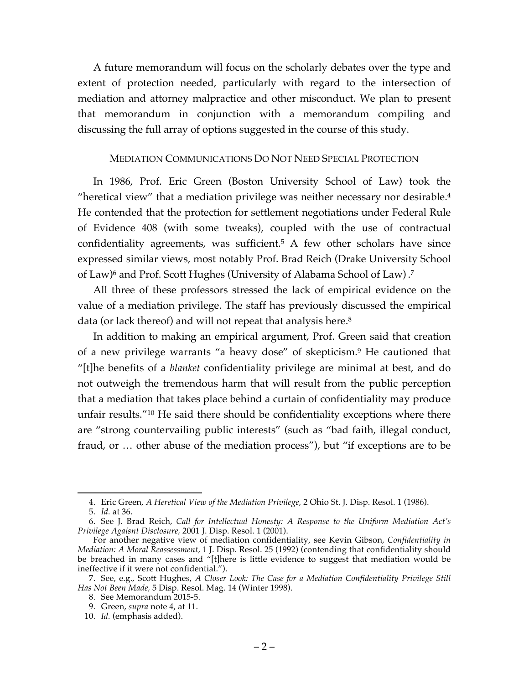A future memorandum will focus on the scholarly debates over the type and extent of protection needed, particularly with regard to the intersection of mediation and attorney malpractice and other misconduct. We plan to present that memorandum in conjunction with a memorandum compiling and discussing the full array of options suggested in the course of this study.

## MEDIATION COMMUNICATIONS DO NOT NEED SPECIAL PROTECTION

In 1986, Prof. Eric Green (Boston University School of Law) took the "heretical view" that a mediation privilege was neither necessary nor desirable.4 He contended that the protection for settlement negotiations under Federal Rule of Evidence 408 (with some tweaks), coupled with the use of contractual confidentiality agreements, was sufficient.5 A few other scholars have since expressed similar views, most notably Prof. Brad Reich (Drake University School of Law)<sup>6</sup> and Prof. Scott Hughes (University of Alabama School of Law) .<sup>7</sup>

All three of these professors stressed the lack of empirical evidence on the value of a mediation privilege. The staff has previously discussed the empirical data (or lack thereof) and will not repeat that analysis here.<sup>8</sup>

In addition to making an empirical argument, Prof. Green said that creation of a new privilege warrants "a heavy dose" of skepticism.9 He cautioned that "[t]he benefits of a *blanket* confidentiality privilege are minimal at best, and do not outweigh the tremendous harm that will result from the public perception that a mediation that takes place behind a curtain of confidentiality may produce unfair results."10 He said there should be confidentiality exceptions where there are "strong countervailing public interests" (such as "bad faith, illegal conduct, fraud, or … other abuse of the mediation process"), but "if exceptions are to be

 <sup>4.</sup> Eric Green, *A Heretical View of the Mediation Privilege,* 2 Ohio St. J. Disp. Resol. 1 (1986).

<sup>5.</sup> *Id.* at 36.

<sup>6.</sup> See J. Brad Reich, *Call for Intellectual Honesty: A Response to the Uniform Mediation Act's Privilege Agaisnt Disclosure,* 2001 J. Disp. Resol. 1 (2001).

For another negative view of mediation confidentiality, see Kevin Gibson, *Confidentiality in Mediation: A Moral Reassessment,* 1 J. Disp. Resol. 25 (1992) (contending that confidentiality should be breached in many cases and "[t]here is little evidence to suggest that mediation would be ineffective if it were not confidential.").

<sup>7.</sup> See, e.g., Scott Hughes, *A Closer Look: The Case for a Mediation Confidentiality Privilege Still Has Not Been Made,* 5 Disp. Resol. Mag. 14 (Winter 1998).

<sup>8.</sup> See Memorandum 2015-5.

<sup>9.</sup> Green, *supra* note 4, at 11.

<sup>10.</sup> *Id.* (emphasis added).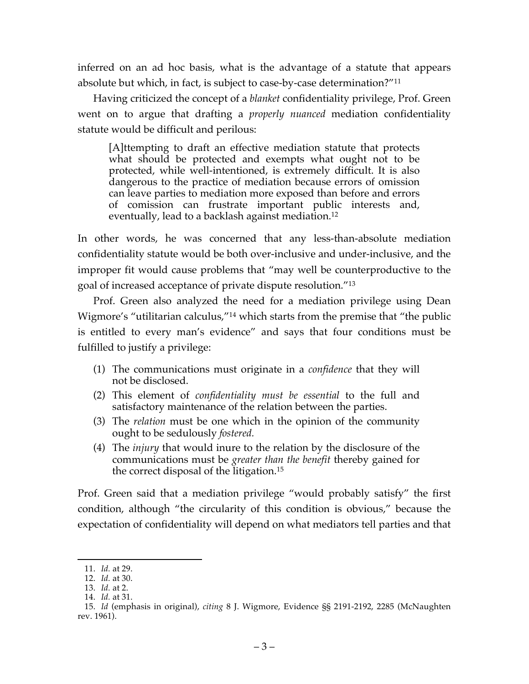inferred on an ad hoc basis, what is the advantage of a statute that appears absolute but which, in fact, is subject to case-by-case determination?"11

Having criticized the concept of a *blanket* confidentiality privilege, Prof. Green went on to argue that drafting a *properly nuanced* mediation confidentiality statute would be difficult and perilous:

[A]ttempting to draft an effective mediation statute that protects what should be protected and exempts what ought not to be protected, while well-intentioned, is extremely difficult. It is also dangerous to the practice of mediation because errors of omission can leave parties to mediation more exposed than before and errors of comission can frustrate important public interests and, eventually, lead to a backlash against mediation.<sup>12</sup>

In other words, he was concerned that any less-than-absolute mediation confidentiality statute would be both over-inclusive and under-inclusive, and the improper fit would cause problems that "may well be counterproductive to the goal of increased acceptance of private dispute resolution."13

Prof. Green also analyzed the need for a mediation privilege using Dean Wigmore's "utilitarian calculus,"14 which starts from the premise that "the public is entitled to every man's evidence" and says that four conditions must be fulfilled to justify a privilege:

- (1) The communications must originate in a *confidence* that they will not be disclosed.
- (2) This element of *confidentiality must be essential* to the full and satisfactory maintenance of the relation between the parties.
- (3) The *relation* must be one which in the opinion of the community ought to be sedulously *fostered.*
- (4) The *injury* that would inure to the relation by the disclosure of the communications must be *greater than the benefit* thereby gained for the correct disposal of the litigation.15

Prof. Green said that a mediation privilege "would probably satisfy" the first condition, although "the circularity of this condition is obvious," because the expectation of confidentiality will depend on what mediators tell parties and that

 <sup>11.</sup> *Id.* at 29.

<sup>12.</sup> *Id.* at 30.

<sup>13.</sup> *Id.* at 2.

<sup>14.</sup> *Id.* at 31.

<sup>15.</sup> *Id* (emphasis in original), *citing* 8 J. Wigmore, Evidence §§ 2191-2192, 2285 (McNaughten rev. 1961).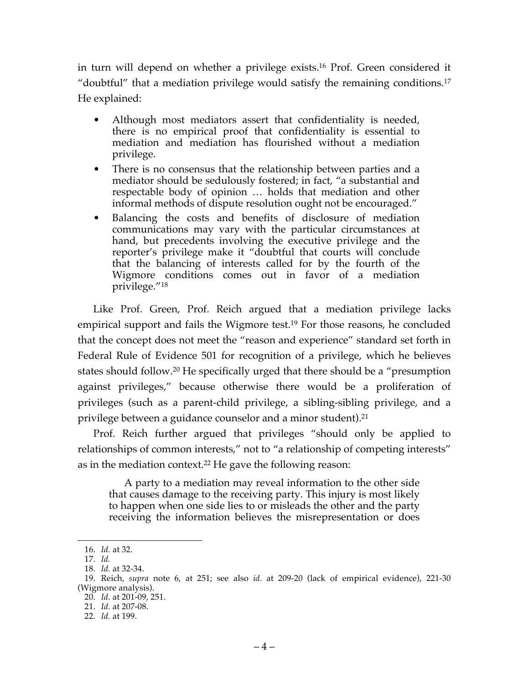in turn will depend on whether a privilege exists.16 Prof. Green considered it "doubtful" that a mediation privilege would satisfy the remaining conditions.17 He explained:

- Although most mediators assert that confidentiality is needed, there is no empirical proof that confidentiality is essential to mediation and mediation has flourished without a mediation privilege.
- There is no consensus that the relationship between parties and a mediator should be sedulously fostered; in fact, "a substantial and respectable body of opinion … holds that mediation and other informal methods of dispute resolution ought not be encouraged."
- Balancing the costs and benefits of disclosure of mediation communications may vary with the particular circumstances at hand, but precedents involving the executive privilege and the reporter's privilege make it "doubtful that courts will conclude that the balancing of interests called for by the fourth of the Wigmore conditions comes out in favor of a mediation privilege."18

Like Prof. Green, Prof. Reich argued that a mediation privilege lacks empirical support and fails the Wigmore test.<sup>19</sup> For those reasons, he concluded that the concept does not meet the "reason and experience" standard set forth in Federal Rule of Evidence 501 for recognition of a privilege, which he believes states should follow.20 He specifically urged that there should be a "presumption against privileges," because otherwise there would be a proliferation of privileges (such as a parent-child privilege, a sibling-sibling privilege, and a privilege between a guidance counselor and a minor student).21

Prof. Reich further argued that privileges "should only be applied to relationships of common interests," not to "a relationship of competing interests" as in the mediation context.22 He gave the following reason:

A party to a mediation may reveal information to the other side that causes damage to the receiving party. This injury is most likely to happen when one side lies to or misleads the other and the party receiving the information believes the misrepresentation or does

 <sup>16.</sup> *Id.* at 32.

<sup>17.</sup> *Id.*

<sup>18.</sup> *Id.* at 32-34.

<sup>19.</sup> Reich, *supra* note 6, at 251; see also *id.* at 209-20 (lack of empirical evidence), 221-30 (Wigmore analysis).

<sup>20.</sup> *Id.* at 201-09, 251.

<sup>21.</sup> *Id.* at 207-08.

<sup>22.</sup> *Id.* at 199.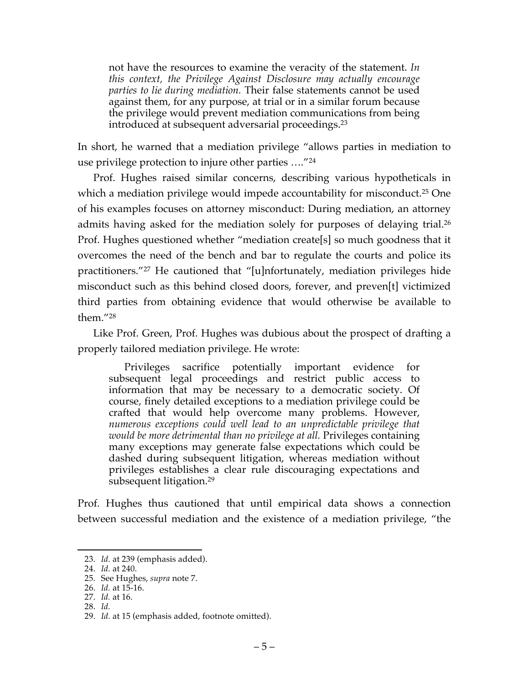not have the resources to examine the veracity of the statement. *In this context, the Privilege Against Disclosure may actually encourage parties to lie during mediation.* Their false statements cannot be used against them, for any purpose, at trial or in a similar forum because the privilege would prevent mediation communications from being introduced at subsequent adversarial proceedings.23

In short, he warned that a mediation privilege "allows parties in mediation to use privilege protection to injure other parties …."24

Prof. Hughes raised similar concerns, describing various hypotheticals in which a mediation privilege would impede accountability for misconduct.<sup>25</sup> One of his examples focuses on attorney misconduct: During mediation, an attorney admits having asked for the mediation solely for purposes of delaying trial.<sup>26</sup> Prof. Hughes questioned whether "mediation create[s] so much goodness that it overcomes the need of the bench and bar to regulate the courts and police its practitioners."27 He cautioned that "[u]nfortunately, mediation privileges hide misconduct such as this behind closed doors, forever, and preven[t] victimized third parties from obtaining evidence that would otherwise be available to them."28

Like Prof. Green, Prof. Hughes was dubious about the prospect of drafting a properly tailored mediation privilege. He wrote:

Privileges sacrifice potentially important evidence for subsequent legal proceedings and restrict public access to information that may be necessary to a democratic society. Of course, finely detailed exceptions to a mediation privilege could be crafted that would help overcome many problems. However, *numerous exceptions could well lead to an unpredictable privilege that would be more detrimental than no privilege at all.* Privileges containing many exceptions may generate false expectations which could be dashed during subsequent litigation, whereas mediation without privileges establishes a clear rule discouraging expectations and subsequent litigation.<sup>29</sup>

Prof. Hughes thus cautioned that until empirical data shows a connection between successful mediation and the existence of a mediation privilege, "the

28. *Id.*

 <sup>23.</sup> *Id.* at 239 (emphasis added).

<sup>24.</sup> *Id.* at 240.

<sup>25.</sup> See Hughes, *supra* note 7.

<sup>26.</sup> *Id.* at 15-16.

<sup>27.</sup> *Id.* at 16.

<sup>29.</sup> *Id.* at 15 (emphasis added, footnote omitted).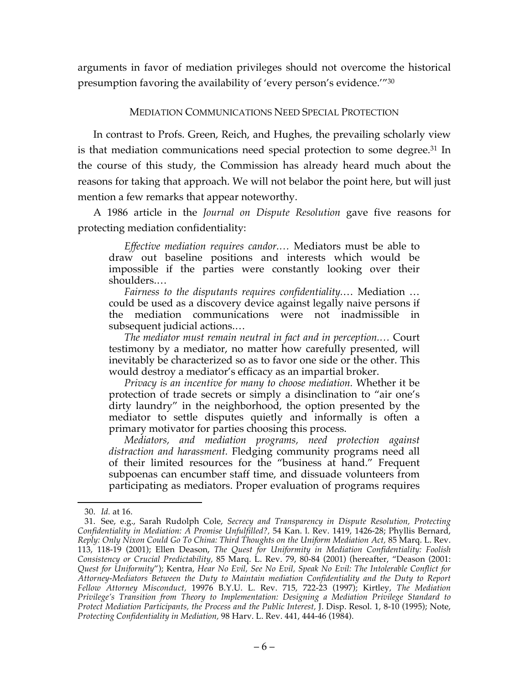arguments in favor of mediation privileges should not overcome the historical presumption favoring the availability of 'every person's evidence.'"30

# MEDIATION COMMUNICATIONS NEED SPECIAL PROTECTION

In contrast to Profs. Green, Reich, and Hughes, the prevailing scholarly view is that mediation communications need special protection to some degree.<sup>31</sup> In the course of this study, the Commission has already heard much about the reasons for taking that approach. We will not belabor the point here, but will just mention a few remarks that appear noteworthy.

A 1986 article in the *Journal on Dispute Resolution* gave five reasons for protecting mediation confidentiality:

*Effective mediation requires candor.…* Mediators must be able to draw out baseline positions and interests which would be impossible if the parties were constantly looking over their shoulders.…

*Fairness to the disputants requires confidentiality.*… Mediation … could be used as a discovery device against legally naive persons if the mediation communications were not inadmissible in subsequent judicial actions.…

*The mediator must remain neutral in fact and in perception.…* Court testimony by a mediator, no matter how carefully presented, will inevitably be characterized so as to favor one side or the other. This would destroy a mediator's efficacy as an impartial broker.

*Privacy is an incentive for many to choose mediation.* Whether it be protection of trade secrets or simply a disinclination to "air one's dirty laundry" in the neighborhood, the option presented by the mediator to settle disputes quietly and informally is often a primary motivator for parties choosing this process.

*Mediators, and mediation programs, need protection against distraction and harassment.* Fledging community programs need all of their limited resources for the "business at hand." Frequent subpoenas can encumber staff time, and dissuade volunteers from participating as mediators. Proper evaluation of programs requires

 <sup>30.</sup> *Id.* at 16.

<sup>31.</sup> See, e.g., Sarah Rudolph Cole, *Secrecy and Transparency in Dispute Resolution, Protecting Confidentiality in Mediation: A Promise Unfulfilled?,* 54 Kan. l. Rev. 1419, 1426-28; Phyllis Bernard, *Reply: Only Nixon Could Go To China: Third Thoughts on the Uniform Mediation Act,* 85 Marq. L. Rev. 113, 118-19 (2001); Ellen Deason, *The Quest for Uniformity in Mediation Confidentiality: Foolish Consistency or Crucial Predictability,* 85 Marq. L. Rev. 79, 80-84 (2001) (hereafter, "Deason (2001: *Quest for Uniformity*"); Kentra, *Hear No Evil, See No Evil, Speak No Evil: The Intolerable Conflict for Attorney-Mediators Between the Duty to Maintain mediation Confidentiality and the Duty to Report Fellow Attorney Misconduct,* 19976 B.Y.U. L. Rev. 715, 722-23 (1997); Kirtley, *The Mediation Privilege's Transition from Theory to Implementation: Designing a Mediation Privilege Standard to Protect Mediation Participants, the Process and the Public Interest,* J. Disp. Resol. 1, 8-10 (1995); Note, *Protecting Confidentiality in Mediation,* 98 Harv. L. Rev. 441, 444-46 (1984).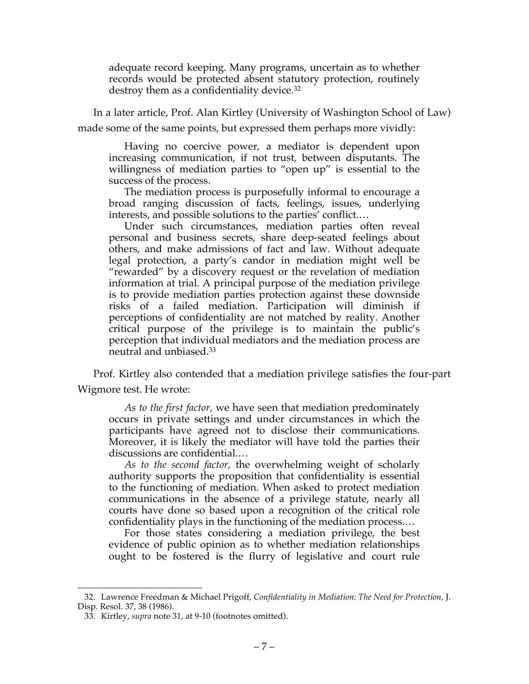adequate record keeping. Many programs, uncertain as to whether records would be protected absent statutory protection, routinely destroy them as a confidentiality device.<sup>32</sup>

In a later article, Prof. Alan Kirtley (University of Washington School of Law) made some of the same points, but expressed them perhaps more vividly:

Having no coercive power, a mediator is dependent upon increasing communication, if not trust, between disputants. The willingness of mediation parties to "open up" is essential to the success of the process.

The mediation process is purposefully informal to encourage a broad ranging discussion of facts, feelings, issues, underlying interests, and possible solutions to the parties' conflict.…

Under such circumstances, mediation parties often reveal personal and business secrets, share deep-seated feelings about others, and make admissions of fact and law. Without adequate legal protection, a party's candor in mediation might well be "rewarded" by a discovery request or the revelation of mediation information at trial. A principal purpose of the mediation privilege is to provide mediation parties protection against these downside risks of a failed mediation. Participation will diminish if perceptions of confidentiality are not matched by reality. Another critical purpose of the privilege is to maintain the public's perception that individual mediators and the mediation process are neutral and unbiased.33

Prof. Kirtley also contended that a mediation privilege satisfies the four-part Wigmore test. He wrote:

*As to the first factor,* we have seen that mediation predominately occurs in private settings and under circumstances in which the participants have agreed not to disclose their communications. Moreover, it is likely the mediator will have told the parties their discussions are confidential.…

*As to the second factor,* the overwhelming weight of scholarly authority supports the proposition that confidentiality is essential to the functioning of mediation. When asked to protect mediation communications in the absence of a privilege statute, nearly all courts have done so based upon a recognition of the critical role confidentiality plays in the functioning of the mediation process.…

For those states considering a mediation privilege, the best evidence of public opinion as to whether mediation relationships ought to be fostered is the flurry of legislative and court rule

 <sup>32.</sup> Lawrence Freedman & Michael Prigoff, *Confidentiality in Mediation: The Need for Protection,* J. Disp. Resol. 37, 38 (1986).

<sup>33.</sup> Kirtley, *supra* note 31, at 9-10 (footnotes omitted).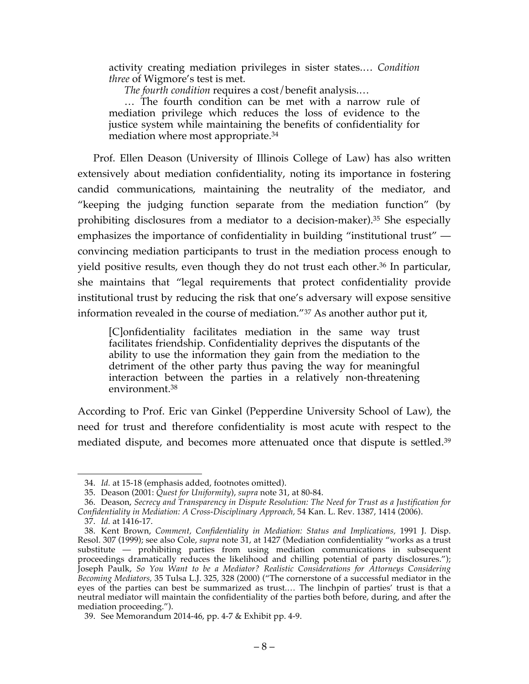activity creating mediation privileges in sister states.… *Condition three* of Wigmore's test is met.

*The fourth condition* requires a cost/benefit analysis.…

… The fourth condition can be met with a narrow rule of mediation privilege which reduces the loss of evidence to the justice system while maintaining the benefits of confidentiality for mediation where most appropriate.34

Prof. Ellen Deason (University of Illinois College of Law) has also written extensively about mediation confidentiality, noting its importance in fostering candid communications, maintaining the neutrality of the mediator, and "keeping the judging function separate from the mediation function" (by prohibiting disclosures from a mediator to a decision-maker).35 She especially emphasizes the importance of confidentiality in building "institutional trust" convincing mediation participants to trust in the mediation process enough to yield positive results, even though they do not trust each other.<sup>36</sup> In particular, she maintains that "legal requirements that protect confidentiality provide institutional trust by reducing the risk that one's adversary will expose sensitive information revealed in the course of mediation."37 As another author put it,

[C]onfidentiality facilitates mediation in the same way trust facilitates friendship. Confidentiality deprives the disputants of the ability to use the information they gain from the mediation to the detriment of the other party thus paving the way for meaningful interaction between the parties in a relatively non-threatening environment.38

According to Prof. Eric van Ginkel (Pepperdine University School of Law), the need for trust and therefore confidentiality is most acute with respect to the mediated dispute, and becomes more attenuated once that dispute is settled.<sup>39</sup>

 <sup>34.</sup> *Id.* at 15-18 (emphasis added, footnotes omitted).

<sup>35.</sup> Deason (2001: *Quest for Uniformity*), *supra* note 31, at 80-84.

<sup>36.</sup> Deason, *Secrecy and Transparency in Dispute Resolution: The Need for Trust as a Justification for Confidentiality in Mediation: A Cross-Disciplinary Approach,* 54 Kan. L. Rev. 1387, 1414 (2006).

<sup>37.</sup> *Id.* at 1416-17.

<sup>38.</sup> Kent Brown, *Comment, Confidentiality in Mediation: Status and Implications,* 1991 J. Disp. Resol. 307 (1999); see also Cole, *supra* note 31, at 1427 (Mediation confidentiality "works as a trust substitute — prohibiting parties from using mediation communications in subsequent proceedings dramatically reduces the likelihood and chilling potential of party disclosures."); Joseph Paulk, *So You Want to be a Mediator? Realistic Considerations for Attorneys Considering Becoming Mediators,* 35 Tulsa L.J. 325, 328 (2000) ("The cornerstone of a successful mediator in the eyes of the parties can best be summarized as trust.… The linchpin of parties' trust is that a neutral mediator will maintain the confidentiality of the parties both before, during, and after the mediation proceeding.").

<sup>39.</sup> See Memorandum 2014-46, pp. 4-7 & Exhibit pp. 4-9.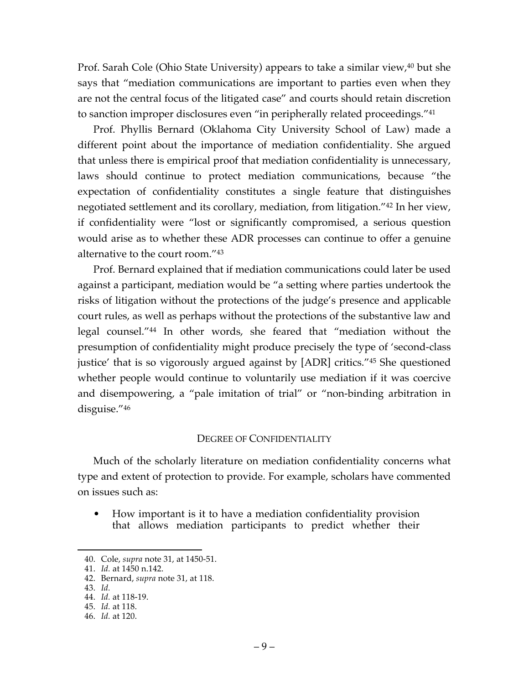Prof. Sarah Cole (Ohio State University) appears to take a similar view,<sup>40</sup> but she says that "mediation communications are important to parties even when they are not the central focus of the litigated case" and courts should retain discretion to sanction improper disclosures even "in peripherally related proceedings."41

Prof. Phyllis Bernard (Oklahoma City University School of Law) made a different point about the importance of mediation confidentiality. She argued that unless there is empirical proof that mediation confidentiality is unnecessary, laws should continue to protect mediation communications, because "the expectation of confidentiality constitutes a single feature that distinguishes negotiated settlement and its corollary, mediation, from litigation."42 In her view, if confidentiality were "lost or significantly compromised, a serious question would arise as to whether these ADR processes can continue to offer a genuine alternative to the court room."43

Prof. Bernard explained that if mediation communications could later be used against a participant, mediation would be "a setting where parties undertook the risks of litigation without the protections of the judge's presence and applicable court rules, as well as perhaps without the protections of the substantive law and legal counsel."44 In other words, she feared that "mediation without the presumption of confidentiality might produce precisely the type of 'second-class justice' that is so vigorously argued against by [ADR] critics."45 She questioned whether people would continue to voluntarily use mediation if it was coercive and disempowering, a "pale imitation of trial" or "non-binding arbitration in disguise."46

### DEGREE OF CONFIDENTIALITY

Much of the scholarly literature on mediation confidentiality concerns what type and extent of protection to provide. For example, scholars have commented on issues such as:

• How important is it to have a mediation confidentiality provision that allows mediation participants to predict whether their

 <sup>40.</sup> Cole, *supra* note 31, at 1450-51.

<sup>41.</sup> *Id.* at 1450 n.142.

<sup>42.</sup> Bernard, *supra* note 31, at 118.

<sup>43.</sup> *Id.*

<sup>44.</sup> *Id.* at 118-19.

<sup>45.</sup> *Id.* at 118.

<sup>46.</sup> *Id.* at 120.